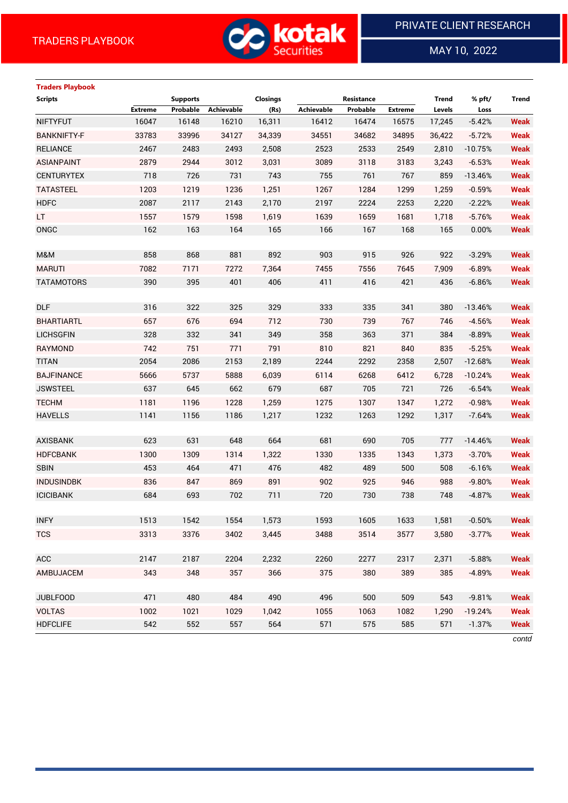

MAY 10, 2022

 $\overline{a}$ 

| <b>Traders Playbook</b> |                |                 |            |                 |                   |            |                |              |           |             |
|-------------------------|----------------|-----------------|------------|-----------------|-------------------|------------|----------------|--------------|-----------|-------------|
| <b>Scripts</b>          |                | <b>Supports</b> |            | <b>Closings</b> |                   | Resistance |                | <b>Trend</b> | % pft/    | Trend       |
|                         | <b>Extreme</b> | Probable        | Achievable | (Rs)            | <b>Achievable</b> | Probable   | <b>Extreme</b> | Levels       | Loss      |             |
| <b>NIFTYFUT</b>         | 16047          | 16148           | 16210      | 16,311          | 16412             | 16474      | 16575          | 17,245       | $-5.42%$  | <b>Weak</b> |
| <b>BANKNIFTY-F</b>      | 33783          | 33996           | 34127      | 34,339          | 34551             | 34682      | 34895          | 36,422       | $-5.72%$  | <b>Weak</b> |
| <b>RELIANCE</b>         | 2467           | 2483            | 2493       | 2,508           | 2523              | 2533       | 2549           | 2,810        | $-10.75%$ | <b>Weak</b> |
| <b>ASIANPAINT</b>       | 2879           | 2944            | 3012       | 3,031           | 3089              | 3118       | 3183           | 3,243        | $-6.53%$  | <b>Weak</b> |
| <b>CENTURYTEX</b>       | 718            | 726             | 731        | 743             | 755               | 761        | 767            | 859          | $-13.46%$ | <b>Weak</b> |
| <b>TATASTEEL</b>        | 1203           | 1219            | 1236       | 1,251           | 1267              | 1284       | 1299           | 1,259        | $-0.59%$  | <b>Weak</b> |
| <b>HDFC</b>             | 2087           | 2117            | 2143       | 2,170           | 2197              | 2224       | 2253           | 2,220        | $-2.22%$  | <b>Weak</b> |
| LT.                     | 1557           | 1579            | 1598       | 1,619           | 1639              | 1659       | 1681           | 1,718        | $-5.76%$  | <b>Weak</b> |
| ONGC                    | 162            | 163             | 164        | 165             | 166               | 167        | 168            | 165          | 0.00%     | <b>Weak</b> |
|                         |                |                 |            |                 |                   |            |                |              |           |             |
| M&M                     | 858            | 868             | 881        | 892             | 903               | 915        | 926            | 922          | $-3.29%$  | <b>Weak</b> |
| <b>MARUTI</b>           | 7082           | 7171            | 7272       | 7,364           | 7455              | 7556       | 7645           | 7,909        | $-6.89%$  | <b>Weak</b> |
| <b>TATAMOTORS</b>       | 390            | 395             | 401        | 406             | 411               | 416        | 421            | 436          | $-6.86%$  | <b>Weak</b> |
|                         |                |                 |            |                 |                   |            |                |              |           |             |
| <b>DLF</b>              | 316            | 322             | 325        | 329             | 333               | 335        | 341            | 380          | $-13.46%$ | <b>Weak</b> |
| <b>BHARTIARTL</b>       | 657            | 676             | 694        | 712             | 730               | 739        | 767            | 746          | $-4.56%$  | <b>Weak</b> |
| <b>LICHSGFIN</b>        | 328            | 332             | 341        | 349             | 358               | 363        | 371            | 384          | $-8.89%$  | <b>Weak</b> |
| <b>RAYMOND</b>          | 742            | 751             | 771        | 791             | 810               | 821        | 840            | 835          | $-5.25%$  | <b>Weak</b> |
| <b>TITAN</b>            | 2054           | 2086            | 2153       | 2,189           | 2244              | 2292       | 2358           | 2,507        | $-12.68%$ | <b>Weak</b> |
| <b>BAJFINANCE</b>       | 5666           | 5737            | 5888       | 6,039           | 6114              | 6268       | 6412           | 6,728        | $-10.24%$ | <b>Weak</b> |
| <b>JSWSTEEL</b>         | 637            | 645             | 662        | 679             | 687               | 705        | 721            | 726          | $-6.54%$  | <b>Weak</b> |
| <b>TECHM</b>            | 1181           | 1196            | 1228       | 1,259           | 1275              | 1307       | 1347           | 1,272        | $-0.98%$  | <b>Weak</b> |
| <b>HAVELLS</b>          | 1141           | 1156            | 1186       | 1,217           | 1232              | 1263       | 1292           | 1,317        | $-7.64%$  | <b>Weak</b> |
|                         |                |                 |            |                 |                   |            |                |              |           |             |
| <b>AXISBANK</b>         | 623            | 631             | 648        | 664             | 681               | 690        | 705            | 777          | $-14.46%$ | <b>Weak</b> |
| <b>HDFCBANK</b>         | 1300           | 1309            | 1314       | 1,322           | 1330              | 1335       | 1343           | 1,373        | $-3.70%$  | <b>Weak</b> |
| <b>SBIN</b>             | 453            | 464             | 471        | 476             | 482               | 489        | 500            | 508          | $-6.16%$  | <b>Weak</b> |
| <b>INDUSINDBK</b>       | 836            | 847             | 869        | 891             | 902               | 925        | 946            | 988          | $-9.80%$  | <b>Weak</b> |
| <b>ICICIBANK</b>        | 684            | 693             | 702        | 711             | 720               | 730        | 738            | 748          | $-4.87%$  | <b>Weak</b> |
|                         |                |                 |            |                 |                   |            |                |              |           |             |
| <b>INFY</b>             | 1513           | 1542            | 1554       | 1,573           | 1593              | 1605       | 1633           | 1,581        | $-0.50%$  | <b>Weak</b> |
| <b>TCS</b>              | 3313           | 3376            | 3402       | 3,445           | 3488              | 3514       | 3577           | 3,580        | $-3.77%$  | <b>Weak</b> |
|                         |                |                 |            |                 |                   |            |                |              |           |             |
| ACC                     | 2147           | 2187            | 2204       | 2,232           | 2260              | 2277       | 2317           | 2,371        | $-5.88%$  | <b>Weak</b> |
| AMBUJACEM               | 343            | 348             | 357        | 366             | 375               | 380        | 389            | 385          | $-4.89%$  | <b>Weak</b> |
|                         |                |                 |            |                 |                   |            |                |              |           |             |
| <b>JUBLFOOD</b>         | 471            | 480             | 484        | 490             | 496               | 500        | 509            | 543          | $-9.81%$  | <b>Weak</b> |
| <b>VOLTAS</b>           | 1002           | 1021            | 1029       | 1,042           | 1055              | 1063       | 1082           | 1,290        | $-19.24%$ | <b>Weak</b> |
| <b>HDFCLIFE</b>         | 542            | 552             | 557        | 564             | 571               | 575        | 585            | 571          | $-1.37%$  | <b>Weak</b> |

*contd*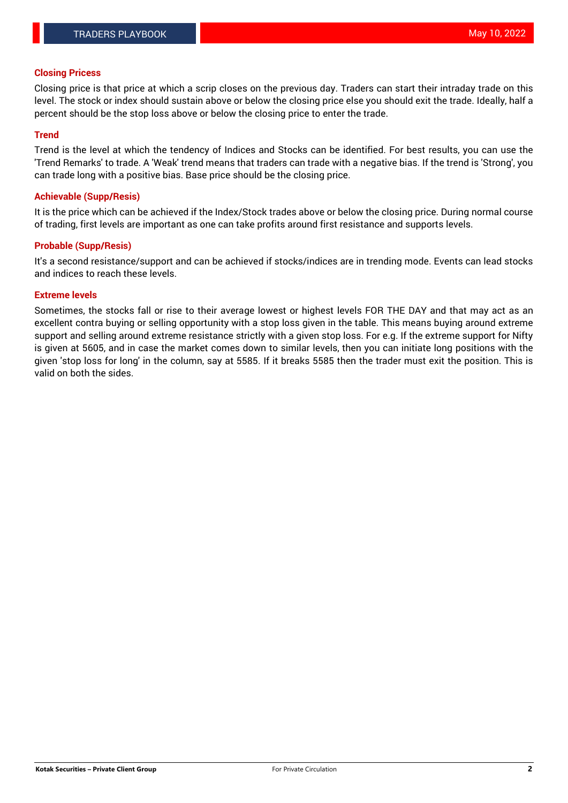## **Closing Pricess**

Closing price is that price at which a scrip closes on the previous day. Traders can start their intraday trade on this level. The stock or index should sustain above or below the closing price else you should exit the trade. Ideally, half a percent should be the stop loss above or below the closing price to enter the trade.

#### **Trend**

Trend is the level at which the tendency of Indices and Stocks can be identified. For best results, you can use the 'Trend Remarks' to trade. A 'Weak' trend means that traders can trade with a negative bias. If the trend is 'Strong', you can trade long with a positive bias. Base price should be the closing price.

#### **Achievable (Supp/Resis)**

It is the price which can be achieved if the Index/Stock trades above or below the closing price. During normal course of trading, first levels are important as one can take profits around first resistance and supports levels.

## **Probable (Supp/Resis)**

It's a second resistance/support and can be achieved if stocks/indices are in trending mode. Events can lead stocks and indices to reach these levels.

#### **Extreme levels**

Sometimes, the stocks fall or rise to their average lowest or highest levels FOR THE DAY and that may act as an excellent contra buying or selling opportunity with a stop loss given in the table. This means buying around extreme support and selling around extreme resistance strictly with a given stop loss. For e.g. If the extreme support for Nifty is given at 5605, and in case the market comes down to similar levels, then you can initiate long positions with the given 'stop loss for long' in the column, say at 5585. If it breaks 5585 then the trader must exit the position. This is valid on both the sides.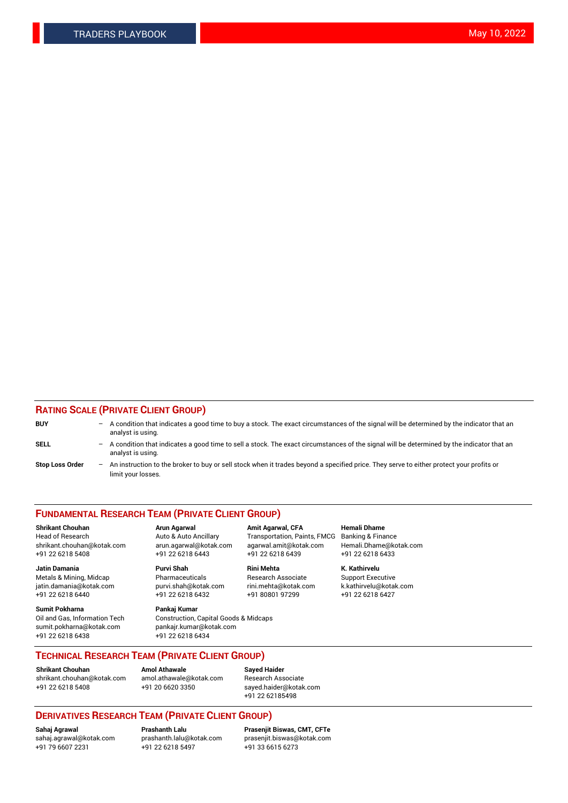## **RATING SCALE (PRIVATE CLIENT GROUP)**

| <b>BUY</b>             | -   | A condition that indicates a good time to buy a stock. The exact circumstances of the signal will be determined by the indicator that an<br>analyst is using.  |
|------------------------|-----|----------------------------------------------------------------------------------------------------------------------------------------------------------------|
| <b>SELL</b>            | -   | A condition that indicates a good time to sell a stock. The exact circumstances of the signal will be determined by the indicator that an<br>analyst is using. |
| <b>Stop Loss Order</b> | $-$ | An instruction to the broker to buy or sell stock when it trades beyond a specified price. They serve to either protect your profits or<br>limit your losses.  |

#### **FUNDAMENTAL RESEARCH TEAM (PRIVATE CLIENT GROUP)**

**Shrikant Chouhan Arun Agarwal Amit Agarwal, CFA Hemali Dhame** Head of Research Auto & Auto Ancillary Transportation, Paints, FMCG Banking & Finance shrikant.chouhan@kotak.com arun.agarwal@kotak.com agarwal.amit@kotak.com Hemali.Dhame@kotak.com

**Jatin Damania Purvi Shah Rini Mehta K. Kathirvelu** Metals & Mining, Midcap **Pharmaceuticals** Research Associate Support Executive jatin.damania@kotak.com [purvi.shah@kotak.com](mailto:purvi.shah@kotak.com) rini.mehta@kotak.com [k.kathirvelu@kotak.com](mailto:k.kathirvelu@kotak.com)  $+91$  22 6218 6440  $+91$  22 6218 6432

**Sumit Pokharna Pankaj Kumar** sumit.pokharna@kotak.com pankajr.kumar@kotak.com +91 22 6218 6438 +91 22 6218 6434

Oil and Gas, Information Tech Construction, Capital Goods & Midcaps

+91 22 6218 5408 +91 22 6218 6443 +91 22 6218 6439 +91 22 6218 6433

**TECHNICAL RESEARCH TEAM (PRIVATE CLIENT GROUP)**

**Shrikant Chouhan Amol Athawale Sayed Haider** [shrikant.chouhan@kotak.com](mailto:shrikant.chouhan@kotak.com) [amol.athawale@kotak.com](mailto:amol.athawale@kotak.com) Research Associate +91 22 6218 5408 +91 20 6620 3350 [sayed.haider@kotak.com](mailto:sayed.haider@kotak.com)

+91 22 62185498

# **DERIVATIVES RESEARCH TEAM (PRIVATE CLIENT GROUP)**

 $+91$  22 6218 5497

**Sahaj Agrawal Prashanth Lalu Prasenjit Biswas, CMT, CFTe** [sahaj.agrawal@kotak.com](mailto:sahaj.agrawal@kotak.com) [prashanth.lalu@kotak.com](mailto:prashanth.lalu@kotak.com) [prasenjit.biswas@kotak.com](mailto:prasenjit.biswas@kotak.com)